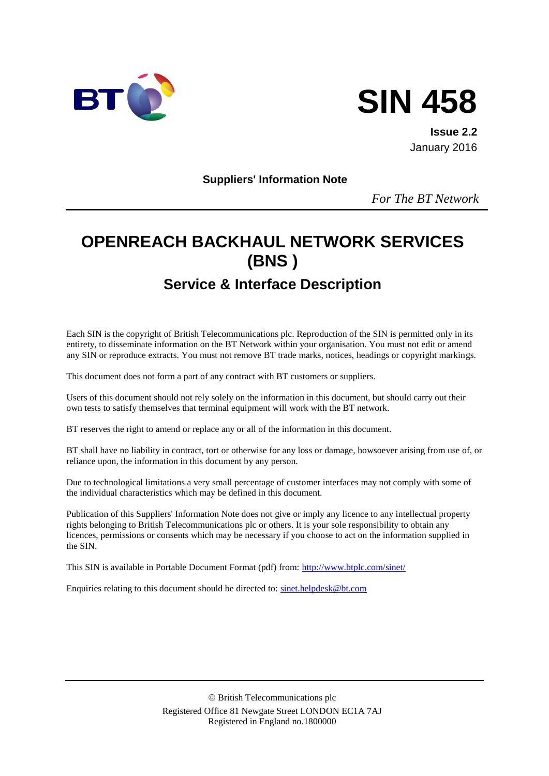



**Issue 2.2** January 2016

**Suppliers' Information Note**

*For The BT Network*

# **OPENREACH BACKHAUL NETWORK SERVICES (BNS )**

# **Service & Interface Description**

Each SIN is the copyright of British Telecommunications plc. Reproduction of the SIN is permitted only in its entirety, to disseminate information on the BT Network within your organisation. You must not edit or amend any SIN or reproduce extracts. You must not remove BT trade marks, notices, headings or copyright markings.

This document does not form a part of any contract with BT customers or suppliers.

Users of this document should not rely solely on the information in this document, but should carry out their own tests to satisfy themselves that terminal equipment will work with the BT network.

BT reserves the right to amend or replace any or all of the information in this document.

BT shall have no liability in contract, tort or otherwise for any loss or damage, howsoever arising from use of, or reliance upon, the information in this document by any person.

Due to technological limitations a very small percentage of customer interfaces may not comply with some of the individual characteristics which may be defined in this document.

Publication of this Suppliers' Information Note does not give or imply any licence to any intellectual property rights belonging to British Telecommunications plc or others. It is your sole responsibility to obtain any licences, permissions or consents which may be necessary if you choose to act on the information supplied in the SIN.

This SIN is available in Portable Document Format (pdf) from:<http://www.btplc.com/sinet/>

Enquiries relating to this document should be directed to: [sinet.helpdesk@bt.com](mailto:sinet.helpdesk@bt.com)

 British Telecommunications plc Registered Office 81 Newgate Street LONDON EC1A 7AJ Registered in England no.1800000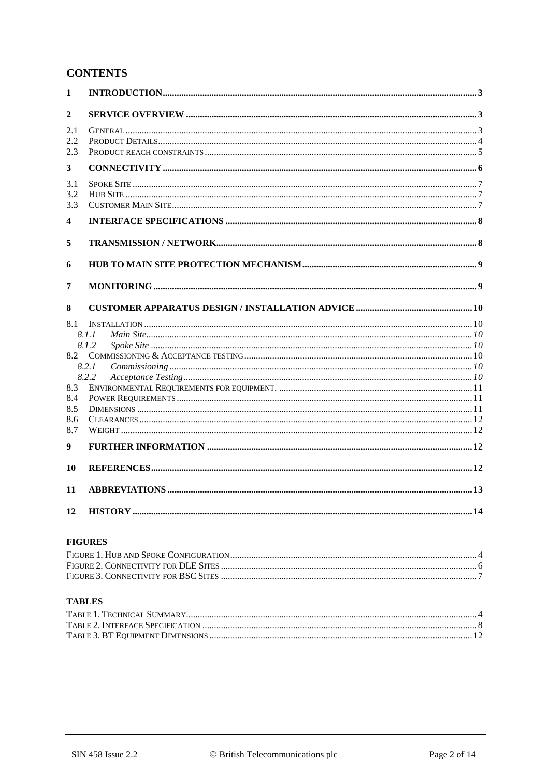# **CONTENTS**

| 1                 |                |  |
|-------------------|----------------|--|
| $\boldsymbol{2}$  |                |  |
| 2.1<br>2.2<br>2.3 |                |  |
| 3                 |                |  |
| 3.1<br>3.2<br>3.3 |                |  |
| 4                 |                |  |
| 5                 |                |  |
| 6                 |                |  |
| 7                 |                |  |
|                   |                |  |
| 8                 |                |  |
| 8.1               | 8.1.1<br>8.1.2 |  |
| 8.2               |                |  |
| 8.3               | 8.2.1<br>8.2.2 |  |
| 8.4<br>8.5        |                |  |
| 8.6<br>8.7        |                |  |
| 9                 |                |  |
| 10                |                |  |
| 11                |                |  |

## **FIGURES**

## **TABLES**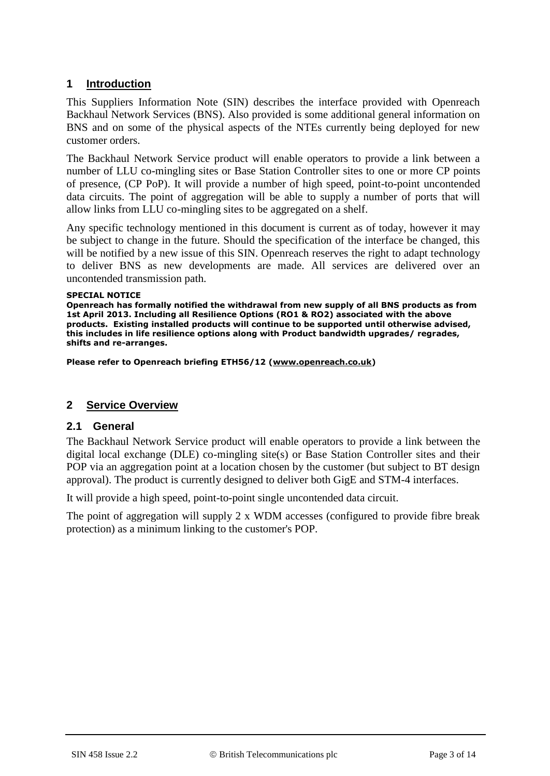# **1 Introduction**

This Suppliers Information Note (SIN) describes the interface provided with Openreach Backhaul Network Services (BNS). Also provided is some additional general information on BNS and on some of the physical aspects of the NTEs currently being deployed for new customer orders.

The Backhaul Network Service product will enable operators to provide a link between a number of LLU co-mingling sites or Base Station Controller sites to one or more CP points of presence, (CP PoP). It will provide a number of high speed, point-to-point uncontended data circuits. The point of aggregation will be able to supply a number of ports that will allow links from LLU co-mingling sites to be aggregated on a shelf.

Any specific technology mentioned in this document is current as of today, however it may be subject to change in the future. Should the specification of the interface be changed, this will be notified by a new issue of this SIN. Openreach reserves the right to adapt technology to deliver BNS as new developments are made. All services are delivered over an uncontended transmission path.

#### **SPECIAL NOTICE**

**Openreach has formally notified the withdrawal from new supply of all BNS products as from 1st April 2013. Including all Resilience Options (RO1 & RO2) associated with the above products. Existing installed products will continue to be supported until otherwise advised, this includes in life resilience options along with Product bandwidth upgrades/ regrades, shifts and re-arranges.** 

**Please refer to Openreach briefing ETH56/12 [\(www.openreach.co.uk\)](http://www.openreach.co.uk/)**

#### **2 Service Overview**

#### **2.1 General**

The Backhaul Network Service product will enable operators to provide a link between the digital local exchange (DLE) co-mingling site(s) or Base Station Controller sites and their POP via an aggregation point at a location chosen by the customer (but subject to BT design approval). The product is currently designed to deliver both GigE and STM-4 interfaces.

It will provide a high speed, point-to-point single uncontended data circuit.

The point of aggregation will supply 2 x WDM accesses (configured to provide fibre break protection) as a minimum linking to the customer's POP.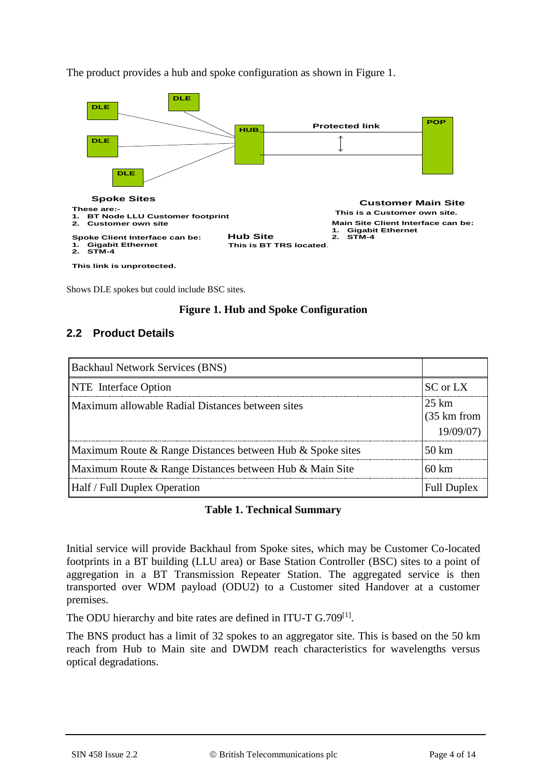The product provides a hub and spoke configuration as shown in [Figure 1.](#page-3-0)



<span id="page-3-0"></span>Shows DLE spokes but could include BSC sites.

#### **Figure 1. Hub and Spoke Configuration**

#### **2.2 Product Details**

| <b>Backhaul Network Services (BNS)</b>                    |                                           |
|-----------------------------------------------------------|-------------------------------------------|
| NTE Interface Option                                      | SC or LX                                  |
| Maximum allowable Radial Distances between sites          | $25 \text{ km}$<br>$(35 \text{ km from})$ |
| Maximum Route & Range Distances between Hub & Spoke sites | 50 km                                     |
| Maximum Route & Range Distances between Hub & Main Site   | $60 \text{ km}$                           |
| Half / Full Duplex Operation                              | <b>Full Duplex</b>                        |

#### **Table 1. Technical Summary**

Initial service will provide Backhaul from Spoke sites, which may be Customer Co-located footprints in a BT building (LLU area) or Base Station Controller (BSC) sites to a point of aggregation in a BT Transmission Repeater Station. The aggregated service is then transported over WDM payload (ODU2) to a Customer sited Handover at a customer premises.

The ODU hierarchy and bite rates are defined in ITU-T G.709<sup>[\[1\]](#page-11-0)</sup>.

The BNS product has a limit of 32 spokes to an aggregator site. This is based on the 50 km reach from Hub to Main site and DWDM reach characteristics for wavelengths versus optical degradations.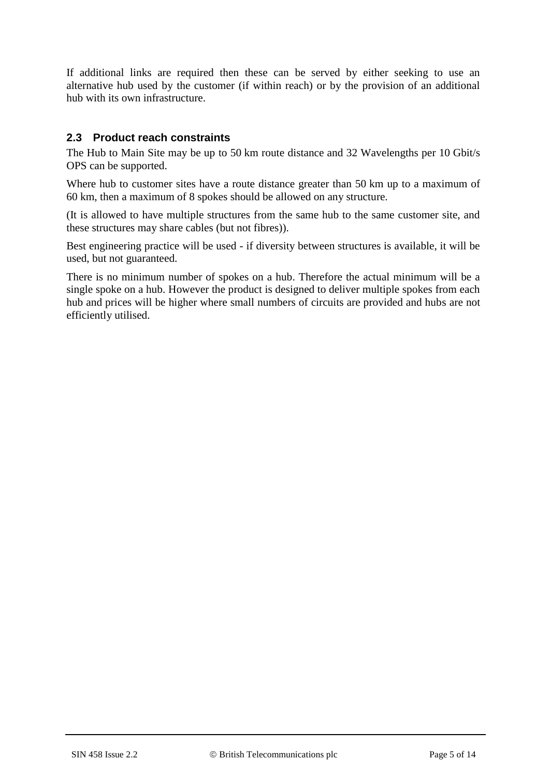If additional links are required then these can be served by either seeking to use an alternative hub used by the customer (if within reach) or by the provision of an additional hub with its own infrastructure.

# **2.3 Product reach constraints**

The Hub to Main Site may be up to 50 km route distance and 32 Wavelengths per 10 Gbit/s OPS can be supported.

Where hub to customer sites have a route distance greater than 50 km up to a maximum of 60 km, then a maximum of 8 spokes should be allowed on any structure.

(It is allowed to have multiple structures from the same hub to the same customer site, and these structures may share cables (but not fibres)).

Best engineering practice will be used - if diversity between structures is available, it will be used, but not guaranteed.

There is no minimum number of spokes on a hub. Therefore the actual minimum will be a single spoke on a hub. However the product is designed to deliver multiple spokes from each hub and prices will be higher where small numbers of circuits are provided and hubs are not efficiently utilised.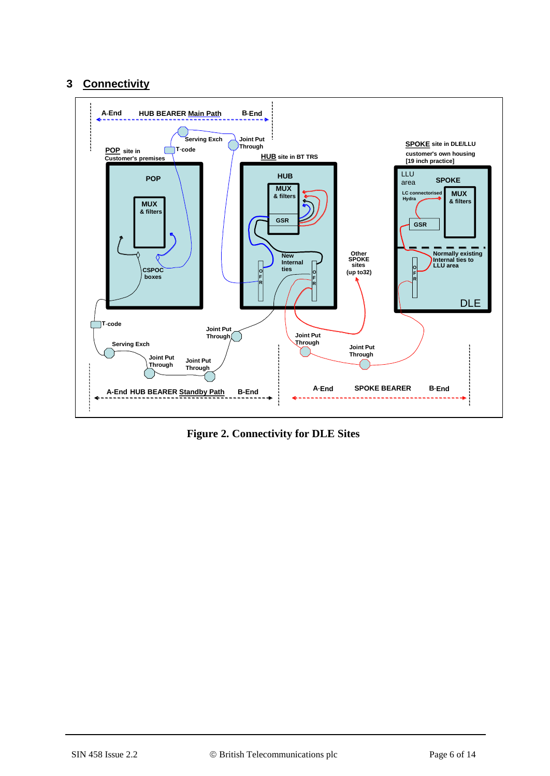# **3 Connectivity**



**Figure 2. Connectivity for DLE Sites**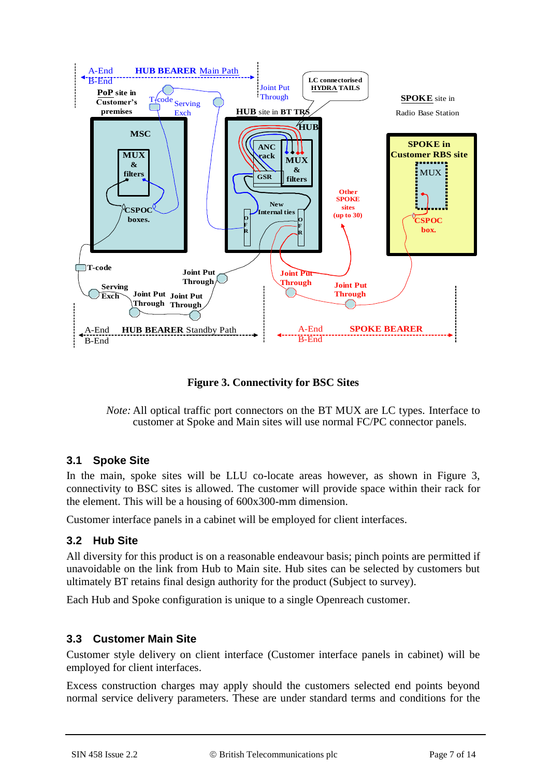

**Figure 3. Connectivity for BSC Sites**

*Note:* All optical traffic port connectors on the BT MUX are LC types. Interface to customer at Spoke and Main sites will use normal FC/PC connector panels.

# **3.1 Spoke Site**

In the main, spoke sites will be LLU co-locate areas however, as shown in Figure 3, connectivity to BSC sites is allowed. The customer will provide space within their rack for the element. This will be a housing of 600x300-mm dimension.

Customer interface panels in a cabinet will be employed for client interfaces.

#### **3.2 Hub Site**

All diversity for this product is on a reasonable endeavour basis; pinch points are permitted if unavoidable on the link from Hub to Main site. Hub sites can be selected by customers but ultimately BT retains final design authority for the product (Subject to survey).

Each Hub and Spoke configuration is unique to a single Openreach customer.

#### **3.3 Customer Main Site**

Customer style delivery on client interface (Customer interface panels in cabinet) will be employed for client interfaces.

Excess construction charges may apply should the customers selected end points beyond normal service delivery parameters. These are under standard terms and conditions for the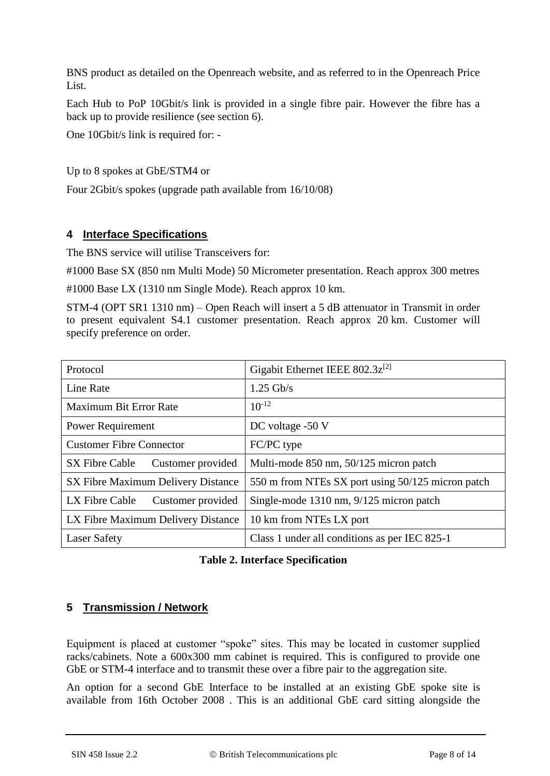BNS product as detailed on the Openreach website, and as referred to in the Openreach Price List.

Each Hub to PoP 10Gbit/s link is provided in a single fibre pair. However the fibre has a back up to provide resilience (see section 6).

One 10Gbit/s link is required for: -

Up to 8 spokes at GbE/STM4 or

Four 2Gbit/s spokes (upgrade path available from 16/10/08)

#### **4 Interface Specifications**

The BNS service will utilise Transceivers for:

#1000 Base SX (850 nm Multi Mode) 50 Micrometer presentation. Reach approx 300 metres

#1000 Base LX (1310 nm Single Mode). Reach approx 10 km.

STM-4 (OPT SR1 1310 nm) – Open Reach will insert a 5 dB attenuator in Transmit in order to present equivalent S4.1 customer presentation. Reach approx 20 km. Customer will specify preference on order.

| Protocol                            | Gigabit Ethernet IEEE $802.3z^{[2]}$              |
|-------------------------------------|---------------------------------------------------|
| Line Rate                           | $1.25$ Gb/s                                       |
| <b>Maximum Bit Error Rate</b>       | $10^{-12}$                                        |
| <b>Power Requirement</b>            | DC voltage -50 V                                  |
| <b>Customer Fibre Connector</b>     | FC/PC type                                        |
| SX Fibre Cable<br>Customer provided | Multi-mode 850 nm, 50/125 micron patch            |
| SX Fibre Maximum Delivery Distance  | 550 m from NTEs SX port using 50/125 micron patch |
| LX Fibre Cable<br>Customer provided | Single-mode 1310 nm, 9/125 micron patch           |
| LX Fibre Maximum Delivery Distance  | 10 km from NTEs LX port                           |
| <b>Laser Safety</b>                 | Class 1 under all conditions as per IEC 825-1     |

**Table 2. Interface Specification**

# **5 Transmission / Network**

Equipment is placed at customer "spoke" sites. This may be located in customer supplied racks/cabinets. Note a 600x300 mm cabinet is required. This is configured to provide one GbE or STM-4 interface and to transmit these over a fibre pair to the aggregation site.

An option for a second GbE Interface to be installed at an existing GbE spoke site is available from 16th October 2008 . This is an additional GbE card sitting alongside the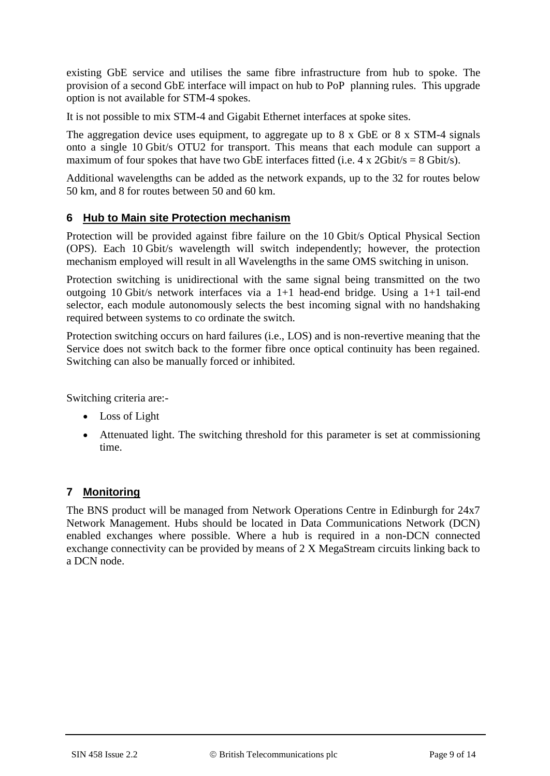existing GbE service and utilises the same fibre infrastructure from hub to spoke. The provision of a second GbE interface will impact on hub to PoP planning rules. This upgrade option is not available for STM-4 spokes.

It is not possible to mix STM-4 and Gigabit Ethernet interfaces at spoke sites.

The aggregation device uses equipment, to aggregate up to 8 x GbE or 8 x STM-4 signals onto a single 10 Gbit/s OTU2 for transport. This means that each module can support a maximum of four spokes that have two GbE interfaces fitted (i.e.  $4 \times 2 \text{Gbit/s} = 8 \text{Gbit/s}$ ).

Additional wavelengths can be added as the network expands, up to the 32 for routes below 50 km, and 8 for routes between 50 and 60 km.

#### **6 Hub to Main site Protection mechanism**

Protection will be provided against fibre failure on the 10 Gbit/s Optical Physical Section (OPS). Each 10 Gbit/s wavelength will switch independently; however, the protection mechanism employed will result in all Wavelengths in the same OMS switching in unison.

Protection switching is unidirectional with the same signal being transmitted on the two outgoing 10 Gbit/s network interfaces via a 1+1 head-end bridge. Using a 1+1 tail-end selector, each module autonomously selects the best incoming signal with no handshaking required between systems to co ordinate the switch.

Protection switching occurs on hard failures (i.e., LOS) and is non-revertive meaning that the Service does not switch back to the former fibre once optical continuity has been regained. Switching can also be manually forced or inhibited.

Switching criteria are:-

- Loss of Light
- Attenuated light. The switching threshold for this parameter is set at commissioning time.

#### **7 Monitoring**

The BNS product will be managed from Network Operations Centre in Edinburgh for 24x7 Network Management. Hubs should be located in Data Communications Network (DCN) enabled exchanges where possible. Where a hub is required in a non-DCN connected exchange connectivity can be provided by means of 2 X MegaStream circuits linking back to a DCN node.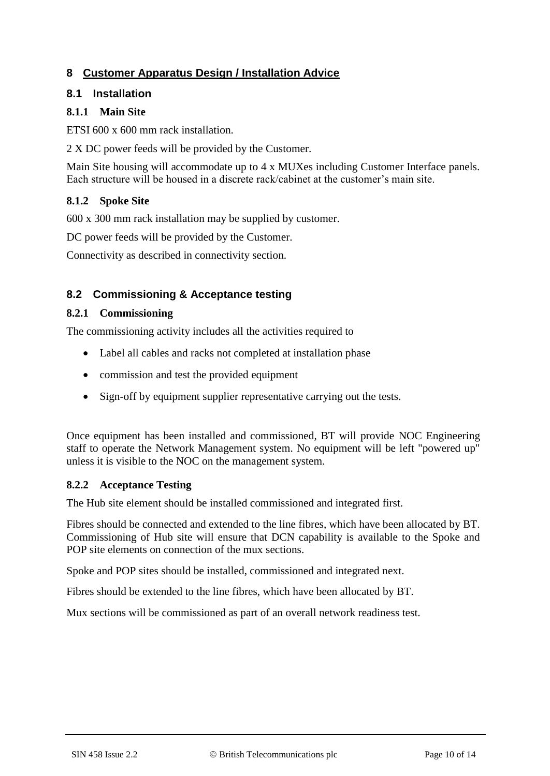# **8 Customer Apparatus Design / Installation Advice**

#### **8.1 Installation**

## **8.1.1 Main Site**

ETSI 600 x 600 mm rack installation.

2 X DC power feeds will be provided by the Customer.

Main Site housing will accommodate up to 4 x MUXes including Customer Interface panels. Each structure will be housed in a discrete rack/cabinet at the customer's main site.

#### **8.1.2 Spoke Site**

600 x 300 mm rack installation may be supplied by customer.

DC power feeds will be provided by the Customer.

Connectivity as described in connectivity section.

# **8.2 Commissioning & Acceptance testing**

#### **8.2.1 Commissioning**

The commissioning activity includes all the activities required to

- Label all cables and racks not completed at installation phase
- commission and test the provided equipment
- Sign-off by equipment supplier representative carrying out the tests.

Once equipment has been installed and commissioned, BT will provide NOC Engineering staff to operate the Network Management system. No equipment will be left "powered up" unless it is visible to the NOC on the management system.

#### **8.2.2 Acceptance Testing**

The Hub site element should be installed commissioned and integrated first.

Fibres should be connected and extended to the line fibres, which have been allocated by BT. Commissioning of Hub site will ensure that DCN capability is available to the Spoke and POP site elements on connection of the mux sections.

Spoke and POP sites should be installed, commissioned and integrated next.

Fibres should be extended to the line fibres, which have been allocated by BT.

Mux sections will be commissioned as part of an overall network readiness test.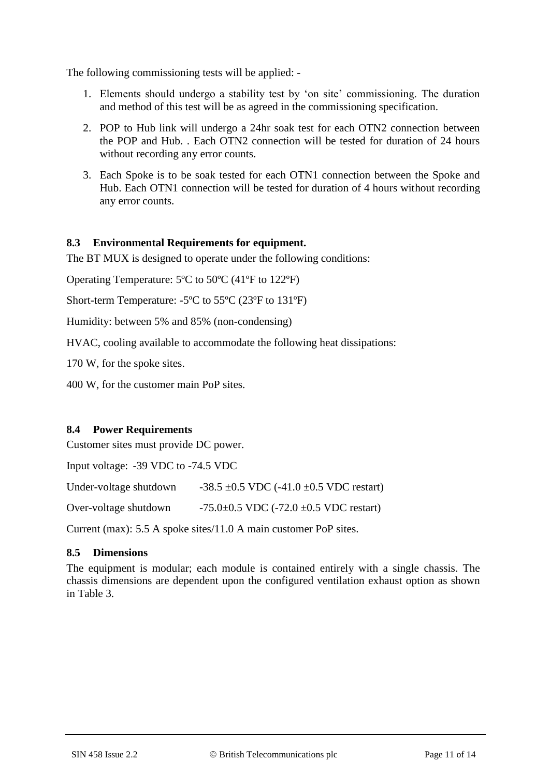The following commissioning tests will be applied: -

- 1. Elements should undergo a stability test by 'on site' commissioning. The duration and method of this test will be as agreed in the commissioning specification.
- 2. POP to Hub link will undergo a 24hr soak test for each OTN2 connection between the POP and Hub. . Each OTN2 connection will be tested for duration of 24 hours without recording any error counts.
- 3. Each Spoke is to be soak tested for each OTN1 connection between the Spoke and Hub. Each OTN1 connection will be tested for duration of 4 hours without recording any error counts.

#### **8.3 Environmental Requirements for equipment.**

The BT MUX is designed to operate under the following conditions:

Operating Temperature: 5ºC to 50ºC (41ºF to 122ºF)

Short-term Temperature: -5ºC to 55ºC (23ºF to 131ºF)

Humidity: between 5% and 85% (non-condensing)

HVAC, cooling available to accommodate the following heat dissipations:

170 W, for the spoke sites.

400 W, for the customer main PoP sites.

#### **8.4 Power Requirements**

Customer sites must provide DC power.

Input voltage: -39 VDC to -74.5 VDC

Under-voltage shutdown  $-38.5 \pm 0.5$  VDC (-41.0  $\pm 0.5$  VDC restart) Over-voltage shutdown  $-75.0\pm0.5$  VDC  $(-72.0\pm0.5$  VDC restart)

Current (max): 5.5 A spoke sites/11.0 A main customer PoP sites.

#### **8.5 Dimensions**

The equipment is modular; each module is contained entirely with a single chassis. The chassis dimensions are dependent upon the configured ventilation exhaust option as shown in [Table 3.](#page-11-2)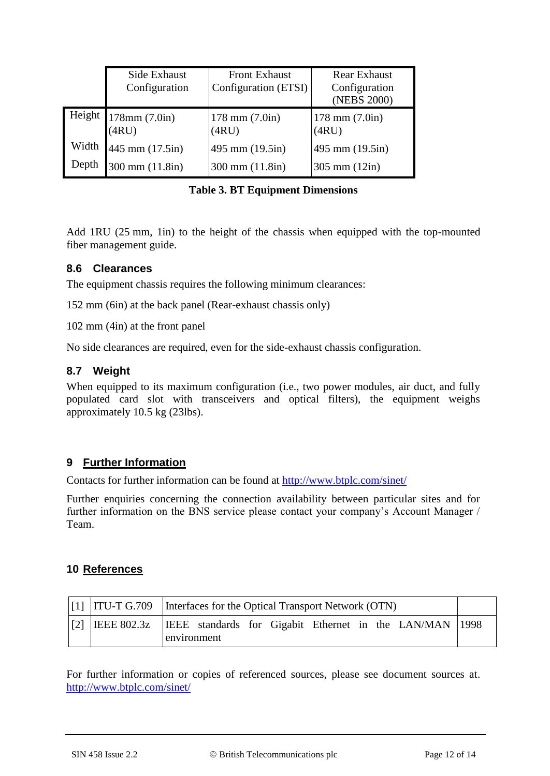|        | Side Exhaust<br>Configuration | <b>Front Exhaust</b><br>Configuration (ETSI) | <b>Rear Exhaust</b><br>Configuration<br>(NEBS 2000) |
|--------|-------------------------------|----------------------------------------------|-----------------------------------------------------|
| Height | 178mm (7.0in)<br>(4RU)        | $178 \text{ mm} (7.0)$ in)<br>(4RU)          | $178$ mm $(7.0in)$<br>(4RU)                         |
| Width  | 445 mm $(17.5in)$             | 495 mm (19.5in)                              | 495 mm $(19.5in)$                                   |
| Depth  | 300 mm (11.8in)               | 300 mm (11.8in)                              | $305 \text{ mm} (12 \text{in})$                     |

**Table 3. BT Equipment Dimensions**

<span id="page-11-2"></span>Add 1RU (25 mm, 1in) to the height of the chassis when equipped with the top-mounted fiber management guide.

#### **8.6 Clearances**

The equipment chassis requires the following minimum clearances:

152 mm (6in) at the back panel (Rear-exhaust chassis only)

102 mm (4in) at the front panel

No side clearances are required, even for the side-exhaust chassis configuration.

#### **8.7 Weight**

When equipped to its maximum configuration (i.e., two power modules, air duct, and fully populated card slot with transceivers and optical filters), the equipment weighs approximately 10.5 kg (23lbs).

# **9 Further Information**

Contacts for further information can be found at<http://www.btplc.com/sinet/>

Further enquiries concerning the connection availability between particular sites and for further information on the BNS service please contact your company's Account Manager / Team.

# **10 References**

<span id="page-11-1"></span><span id="page-11-0"></span>

|             | $\begin{bmatrix} 11 \end{bmatrix}$ TTU-T G.709   Interfaces for the Optical Transport Network (OTN) |  |
|-------------|-----------------------------------------------------------------------------------------------------|--|
| $\vert$ [2] | IEEE 802.3z IEEE standards for Gigabit Ethernet in the LAN/MAN 1998<br>environment                  |  |

For further information or copies of referenced sources, please see document sources at. <http://www.btplc.com/sinet/>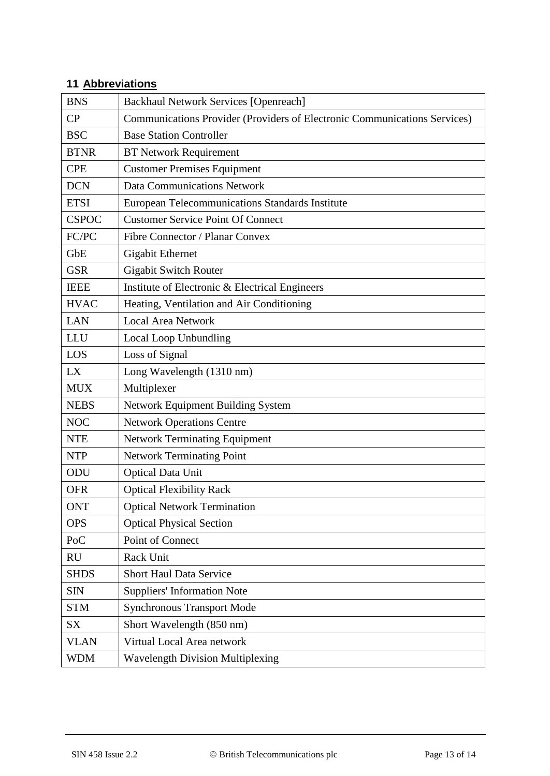# **11 Abbreviations**

| <b>BNS</b>   | <b>Backhaul Network Services [Openreach]</b>                              |  |
|--------------|---------------------------------------------------------------------------|--|
| CP           | Communications Provider (Providers of Electronic Communications Services) |  |
| <b>BSC</b>   | <b>Base Station Controller</b>                                            |  |
| <b>BTNR</b>  | <b>BT Network Requirement</b>                                             |  |
| <b>CPE</b>   | <b>Customer Premises Equipment</b>                                        |  |
| <b>DCN</b>   | <b>Data Communications Network</b>                                        |  |
| <b>ETSI</b>  | European Telecommunications Standards Institute                           |  |
| <b>CSPOC</b> | <b>Customer Service Point Of Connect</b>                                  |  |
| FC/PC        | Fibre Connector / Planar Convex                                           |  |
| GbE          | Gigabit Ethernet                                                          |  |
| <b>GSR</b>   | <b>Gigabit Switch Router</b>                                              |  |
| <b>IEEE</b>  | Institute of Electronic & Electrical Engineers                            |  |
| <b>HVAC</b>  | Heating, Ventilation and Air Conditioning                                 |  |
| <b>LAN</b>   | <b>Local Area Network</b>                                                 |  |
| <b>LLU</b>   | Local Loop Unbundling                                                     |  |
| LOS          | Loss of Signal                                                            |  |
| LX           | Long Wavelength (1310 nm)                                                 |  |
| <b>MUX</b>   | Multiplexer                                                               |  |
| <b>NEBS</b>  | Network Equipment Building System                                         |  |
| <b>NOC</b>   | <b>Network Operations Centre</b>                                          |  |
| <b>NTE</b>   | <b>Network Terminating Equipment</b>                                      |  |
| <b>NTP</b>   | <b>Network Terminating Point</b>                                          |  |
| ODU          | <b>Optical Data Unit</b>                                                  |  |
| <b>OFR</b>   | <b>Optical Flexibility Rack</b>                                           |  |
| <b>ONT</b>   | <b>Optical Network Termination</b>                                        |  |
| <b>OPS</b>   | <b>Optical Physical Section</b>                                           |  |
| PoC          | Point of Connect                                                          |  |
| <b>RU</b>    | Rack Unit                                                                 |  |
| <b>SHDS</b>  | <b>Short Haul Data Service</b>                                            |  |
| <b>SIN</b>   | <b>Suppliers' Information Note</b>                                        |  |
| <b>STM</b>   | <b>Synchronous Transport Mode</b>                                         |  |
| <b>SX</b>    | Short Wavelength (850 nm)                                                 |  |
| <b>VLAN</b>  | Virtual Local Area network                                                |  |
| <b>WDM</b>   | <b>Wavelength Division Multiplexing</b>                                   |  |